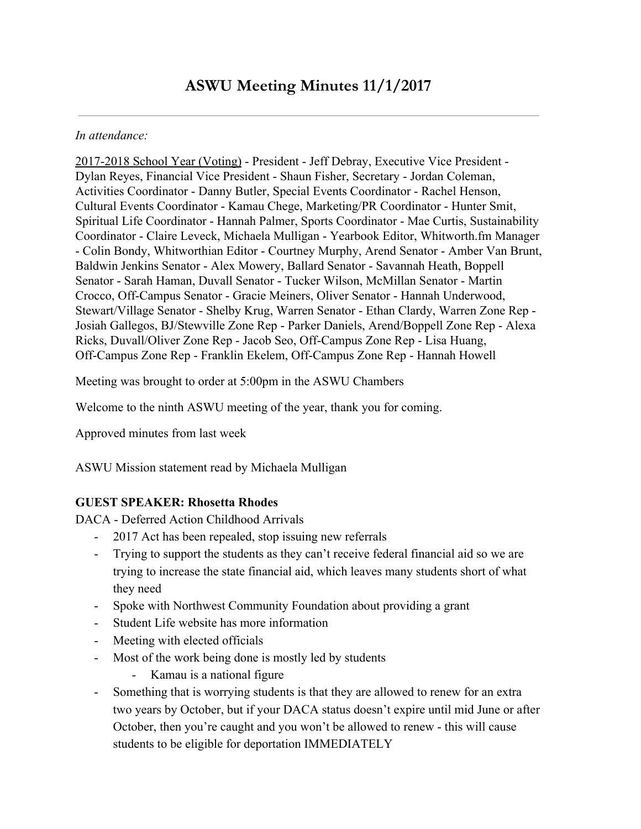#### *In attendance:*

2017-2018 School Year (Voting) - President - Jeff Debray, Executive Vice President - Dylan Reyes, Financial Vice President - Shaun Fisher, Secretary - Jordan Coleman, Activities Coordinator - Danny Butler, Special Events Coordinator - Rachel Henson, Cultural Events Coordinator - Kamau Chege, Marketing/PR Coordinator - Hunter Smit, Spiritual Life Coordinator - Hannah Palmer, Sports Coordinator - Mae Curtis, Sustainability Coordinator - Claire Leveck, Michaela Mulligan - Yearbook Editor, Whitworth.fm Manager - Colin Bondy, Whitworthian Editor - Courtney Murphy, Arend Senator - Amber Van Brunt, Baldwin Jenkins Senator - Alex Mowery, Ballard Senator - Savannah Heath, Boppell Senator - Sarah Haman, Duvall Senator - Tucker Wilson, McMillan Senator - Martin Crocco, Off-Campus Senator - Gracie Meiners, Oliver Senator - Hannah Underwood, Stewart/Village Senator - Shelby Krug, Warren Senator - Ethan Clardy, Warren Zone Rep - Josiah Gallegos, BJ/Stewville Zone Rep - Parker Daniels, Arend/Boppell Zone Rep - Alexa Ricks, Duvall/Oliver Zone Rep - Jacob Seo, Off-Campus Zone Rep - Lisa Huang, Off-Campus Zone Rep - Franklin Ekelem, Off-Campus Zone Rep - Hannah Howell

Meeting was brought to order at 5:00pm in the ASWU Chambers

Welcome to the ninth ASWU meeting of the year, thank you for coming.

Approved minutes from last week

ASWU Mission statement read by Michaela Mulligan

#### **GUEST SPEAKER: Rhosetta Rhodes**

DACA - Deferred Action Childhood Arrivals

- 2017 Act has been repealed, stop issuing new referrals
- Trying to support the students as they can't receive federal financial aid so we are trying to increase the state financial aid, which leaves many students short of what they need
- Spoke with Northwest Community Foundation about providing a grant
- Student Life website has more information
- Meeting with elected officials
- Most of the work being done is mostly led by students
	- Kamau is a national figure
- Something that is worrying students is that they are allowed to renew for an extra two years by October, but if your DACA status doesn't expire until mid June or after October, then you're caught and you won't be allowed to renew - this will cause students to be eligible for deportation IMMEDIATELY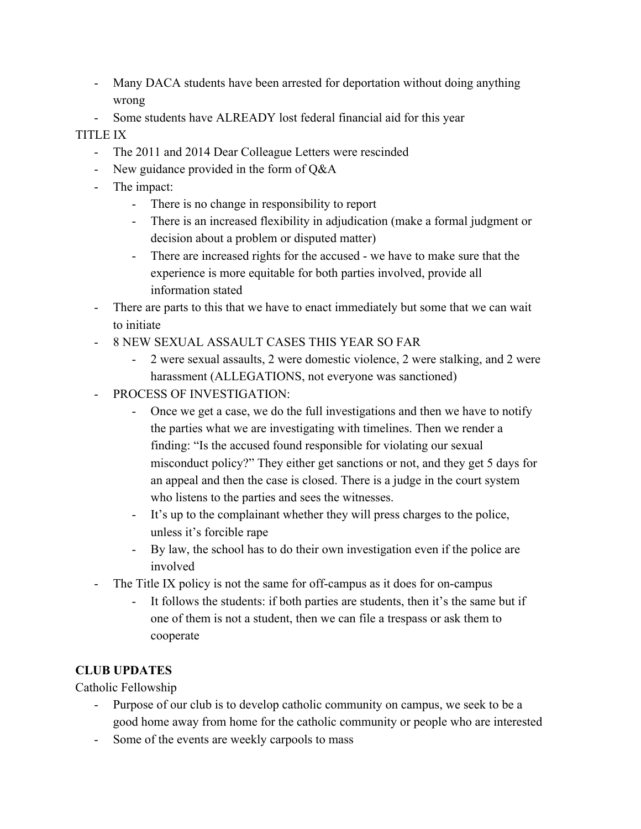- Many DACA students have been arrested for deportation without doing anything wrong
- Some students have ALREADY lost federal financial aid for this year

## TITLE IX

- The 2011 and 2014 Dear Colleague Letters were rescinded
- New guidance provided in the form of Q&A
- The impact:
	- There is no change in responsibility to report
	- There is an increased flexibility in adjudication (make a formal judgment or decision about a problem or disputed matter)
	- There are increased rights for the accused we have to make sure that the experience is more equitable for both parties involved, provide all information stated
- There are parts to this that we have to enact immediately but some that we can wait to initiate
- 8 NEW SEXUAL ASSAULT CASES THIS YEAR SO FAR
	- 2 were sexual assaults, 2 were domestic violence, 2 were stalking, and 2 were harassment (ALLEGATIONS, not everyone was sanctioned)
- PROCESS OF INVESTIGATION:
	- Once we get a case, we do the full investigations and then we have to notify the parties what we are investigating with timelines. Then we render a finding: "Is the accused found responsible for violating our sexual misconduct policy?" They either get sanctions or not, and they get 5 days for an appeal and then the case is closed. There is a judge in the court system who listens to the parties and sees the witnesses.
	- It's up to the complainant whether they will press charges to the police, unless it's forcible rape
	- By law, the school has to do their own investigation even if the police are involved
- The Title IX policy is not the same for off-campus as it does for on-campus
	- It follows the students: if both parties are students, then it's the same but if one of them is not a student, then we can file a trespass or ask them to cooperate

# **CLUB UPDATES**

Catholic Fellowship

- Purpose of our club is to develop catholic community on campus, we seek to be a good home away from home for the catholic community or people who are interested
- Some of the events are weekly carpools to mass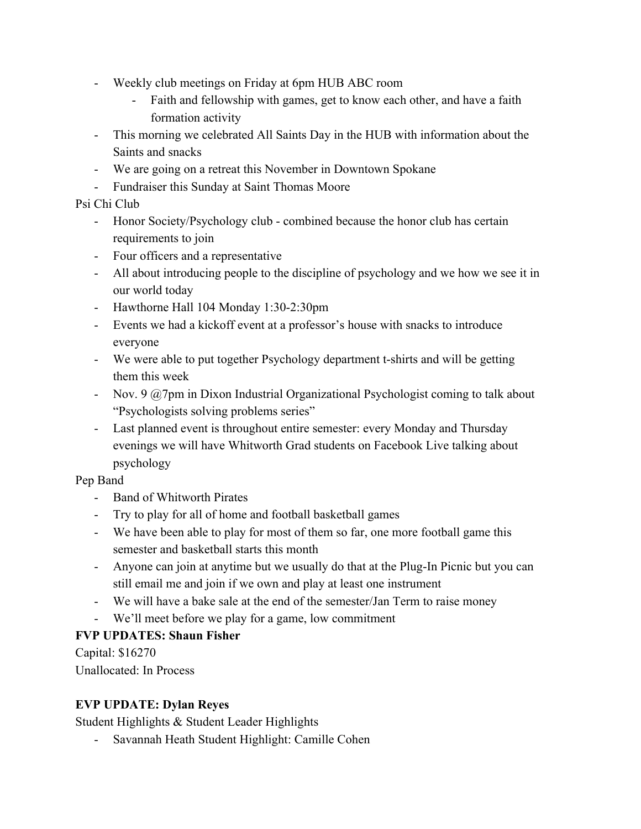- Weekly club meetings on Friday at 6pm HUB ABC room
	- Faith and fellowship with games, get to know each other, and have a faith formation activity
- This morning we celebrated All Saints Day in the HUB with information about the Saints and snacks
- We are going on a retreat this November in Downtown Spokane
- Fundraiser this Sunday at Saint Thomas Moore

Psi Chi Club

- Honor Society/Psychology club combined because the honor club has certain requirements to join
- Four officers and a representative
- All about introducing people to the discipline of psychology and we how we see it in our world today
- Hawthorne Hall 104 Monday 1:30-2:30pm
- Events we had a kickoff event at a professor's house with snacks to introduce everyone
- We were able to put together Psychology department t-shirts and will be getting them this week
- Nov. 9 @7pm in Dixon Industrial Organizational Psychologist coming to talk about "Psychologists solving problems series"
- Last planned event is throughout entire semester: every Monday and Thursday evenings we will have Whitworth Grad students on Facebook Live talking about psychology

Pep Band

- Band of Whitworth Pirates
- Try to play for all of home and football basketball games
- We have been able to play for most of them so far, one more football game this semester and basketball starts this month
- Anyone can join at anytime but we usually do that at the Plug-In Picnic but you can still email me and join if we own and play at least one instrument
- We will have a bake sale at the end of the semester/Jan Term to raise money
- We'll meet before we play for a game, low commitment

### **FVP UPDATES: Shaun Fisher**

Capital: \$16270 Unallocated: In Process

### **EVP UPDATE: Dylan Reyes**

Student Highlights & Student Leader Highlights

- Savannah Heath Student Highlight: Camille Cohen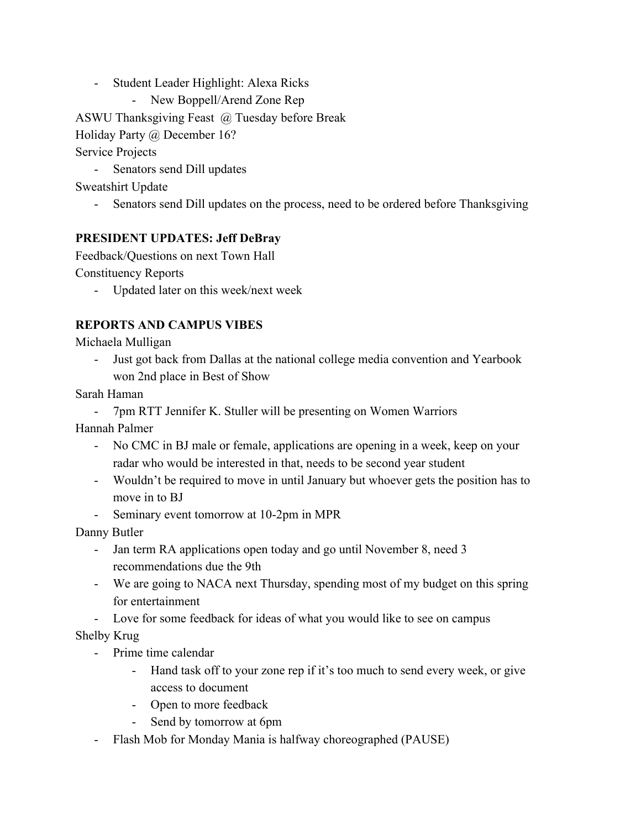- Student Leader Highlight: Alexa Ricks
	- New Boppell/Arend Zone Rep

ASWU Thanksgiving Feast @ Tuesday before Break

Holiday Party @ December 16?

## Service Projects

- Senators send Dill updates

Sweatshirt Update

- Senators send Dill updates on the process, need to be ordered before Thanksgiving

### **PRESIDENT UPDATES: Jeff DeBray**

Feedback/Questions on next Town Hall

Constituency Reports

- Updated later on this week/next week

# **REPORTS AND CAMPUS VIBES**

Michaela Mulligan

- Just got back from Dallas at the national college media convention and Yearbook won 2nd place in Best of Show

Sarah Haman

- 7pm RTT Jennifer K. Stuller will be presenting on Women Warriors

Hannah Palmer

- No CMC in BJ male or female, applications are opening in a week, keep on your radar who would be interested in that, needs to be second year student
- Wouldn't be required to move in until January but whoever gets the position has to move in to BJ
- Seminary event tomorrow at 10-2pm in MPR

Danny Butler

- Jan term RA applications open today and go until November 8, need 3 recommendations due the 9th
- We are going to NACA next Thursday, spending most of my budget on this spring for entertainment
- Love for some feedback for ideas of what you would like to see on campus

### Shelby Krug

- Prime time calendar
	- Hand task off to your zone rep if it's too much to send every week, or give access to document
	- Open to more feedback
	- Send by tomorrow at 6pm
- Flash Mob for Monday Mania is halfway choreographed (PAUSE)